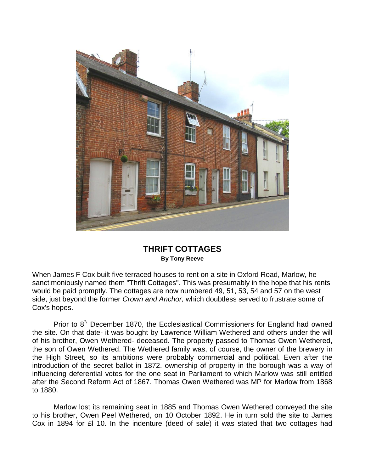

## **THRIFT COTTAGES By Tony Reeve**

When James F Cox built five terraced houses to rent on a site in Oxford Road, Marlow, he sanctimoniously named them "Thrift Cottages". This was presumably in the hope that his rents would be paid promptly. The cottages are now numbered 49, 51, 53, 54 and 57 on the west side, just beyond the former *Crown and Anchor,* which doubtless served to frustrate some of Cox's hopes.

Prior to 8<sup>°</sup> December 1870, the Ecclesiastical Commissioners for England had owned the site. On that date- it was bought by Lawrence William Wethered and others under the will of his brother, Owen Wethered- deceased. The property passed to Thomas Owen Wethered, the son of Owen Wethered. The Wethered family was, of course, the owner of the brewery in the High Street, so its ambitions were probably commercial and political. Even after the introduction of the secret ballot in 1872. ownership of property in the borough was a way of influencing deferential votes for the one seat in Parliament to which Marlow was still entitled after the Second Reform Act of 1867. Thomas Owen Wethered was MP for Marlow from 1868 to 1880.

Marlow lost its remaining seat in 1885 and Thomas Owen Wethered conveyed the site to his brother, Owen Peel Wethered, on 10 October 1892. He in turn sold the site to James Cox in 1894 for £l 10. In the indenture (deed of sale) it was stated that two cottages had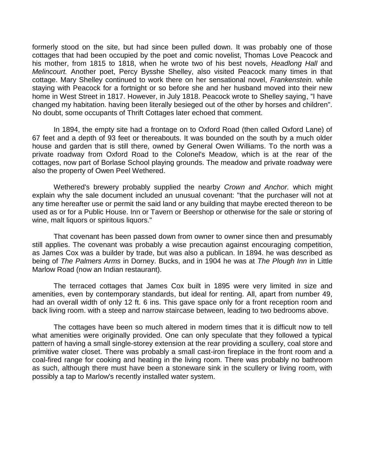formerly stood on the site, but had since been pulled down. It was probably one of those cottages that had been occupied by the poet and comic novelist, Thomas Love Peacock and his mother, from 1815 to 1818, when he wrote two of his best novels, *Headlong Hall* and *Melincourt.* Another poet, Percy Bysshe Shelley, also visited Peacock many times in that cottage. Mary Shelley continued to work there on her sensational novel, *Frankenstein.* while staying with Peacock for a fortnight or so before she and her husband moved into their new home in West Street in 1817. However, in July 1818. Peacock wrote to Shelley saying, "I have changed my habitation. having been literally besieged out of the other by horses and children". No doubt, some occupants of Thrift Cottages later echoed that comment.

In 1894, the empty site had a frontage on to Oxford Road (then called Oxford Lane) of 67 feet and a depth of 93 feet or thereabouts. It was bounded on the south by a much older house and garden that is still there, owned by General Owen Williams. To the north was a private roadway from Oxford Road to the Colonel's Meadow, which is at the rear of the cottages, now part of Borlase School playing grounds. The meadow and private roadway were also the property of Owen Peel Wethered.

Wethered's brewery probably supplied the nearby *Crown and Anchor.* which might explain why the sale document included an unusual covenant: "that the purchaser will not at any time hereafter use or permit the said land or any building that maybe erected thereon to be used as or for a Public House. Inn or Tavern or Beershop or otherwise for the sale or storing of wine, malt liquors or spiritous liquors."

That covenant has been passed down from owner to owner since then and presumably still applies. The covenant was probably a wise precaution against encouraging [competition,](http://competition.as/) [as](http://competition.as/) James Cox was a builder by trade, but was also a publican. In 1894. he was described as being of *The Palmers Arms* in Dorney. Bucks, and in 1904 he was at *The Plough Inn* in Little Marlow Road (now an Indian restaurant).

The terraced cottages that James Cox built in 1895 were very limited in size and amenities, even by contemporary standards, but ideal for renting. All, apart from number 49, had an overall width of only 12 ft. 6 ins. This gave space only for a front reception room and back living room. with a steep and narrow staircase between, leading to two bedrooms above.

The cottages have been so much altered in modern times that it is difficult now to tell what amenities were originally provided. One can only speculate that they followed a typical pattern of having a small single-storey extension at the rear providing a scullery, coal store and primitive water closet. There was probably a small cast-iron fireplace in the front room and a coal-fired range for cooking and heating in the living room. There was probably no bathroom as such, although there must have been a stoneware sink in the scullery or living room, with possibly a tap to Marlow's recently installed water system.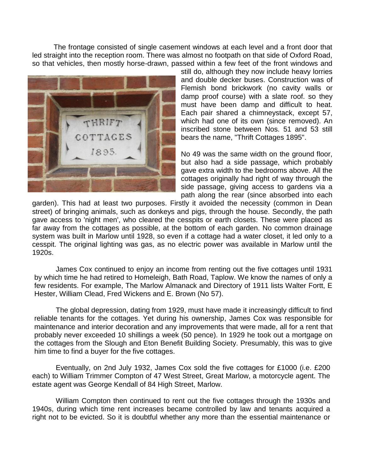The frontage consisted of single casement windows at each level and a front door that led straight into the reception room. There was almost no footpath on that side of Oxford Road, so that vehicles, then mostly horse-drawn, passed within a few feet of the front windows and



still do, although they now include heavy lorries and double decker buses. Construction was of Flemish bond brickwork (no cavity walls or damp proof course) with a slate [roof. so](http://roof.so/) they must have been damp and difficult to heat. Each pair shared a chimneystack, except 57, which had one of its own (since removed). An inscribed stone between Nos. 51 and 53 still bears the name, "Thrift Cottages 1895".

No 49 was the same width on the ground floor, but also had a side passage, which probably gave extra width to the bedrooms above. All the cottages originally had right of way through the side passage, giving access to gardens via a path along the rear (since absorbed into each

garden). This had at least two purposes. Firstly it avoided the necessity (common in Dean street) of bringing animals, such as donkeys and pigs, through the house. Secondly, the path gave access to 'night men', who cleared the cesspits or earth closets. These were placed as far away from the cottages as possible, at the bottom of each garden. No common drainage system was built in Marlow until 1928, so even if a cottage had a water closet, it led only to a cesspit. The original lighting was gas, as no electric power was available in Marlow until the 1920s.

James Cox continued to enjoy an income from renting out the five cottages until 1931 by which time he had retired to Homeleigh, Bath Road, Taplow. We know the names of only a few residents. For example, The Marlow Almanack and Directory of 1911 lists Walter Fortt, E Hester, William Clead, Fred Wickens and E. Brown (No 57).

The global depression, dating from 1929, must have made it increasingly difficult to find reliable tenants for the cottages. Yet during his ownership, James Cox was responsible for maintenance and interior decoration and any improvements that were made, all for a rent that probably never exceeded 10 shillings a week (50 pence). In 1929 he took out a mortgage on the cottages from the Slough and Eton Benefit Building Society. Presumably, this was to give him time to find a buyer for the five cottages.

Eventually, on 2nd July 1932, James Cox sold the five cottages for £1000 (i.e. £200 each) to William Trimmer Compton of 47 West Street, Great Marlow, a motorcycle agent. The estate agent was George Kendall of 84 High Street, Marlow.

William Compton then continued to rent out the five cottages through the 1930s and 1940s, during which time rent increases became controlled by law and tenants acquired a right not to be evicted. So it is doubtful whether any more than the essential maintenance or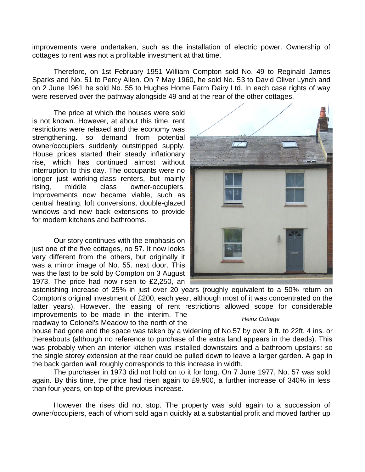improvements were undertaken, such as the installation of electric power. Ownership of cottages to rent was not a profitable investment at that time.

Therefore, on 1st February 1951 William Compton sold No. 49 to Reginald James Sparks and No. 51 to Percy Allen. On 7 May 1960, he sold No. 53 to David Oliver Lynch and on 2 June 1961 he sold No. 55 to Hughes Home Farm Dairy Ltd. In each case rights of way were reserved over the pathway alongside 49 and at the rear of the other cottages.

The price at which the houses were sold is not known. However, at about this time, rent restrictions were relaxed and the economy was [strengthening. so](http://strengthening.so/) demand from potential owner/occupiers suddenly outstripped supply. House prices started their steady inflationary rise, which has continued almost without interruption to this day. The occupants were no longer just working-class renters, but mainly rising, middle class owner-occupiers. Improvements now became viable, such as central heating, loft conversions, double-glazed windows and new back extensions to provide for modern kitchens and bathrooms.

Our story continues with the emphasis on just one of the five cottages, no 57. It now looks very different from the others, but originally it was a mirror image of No. 55. next door. This was the last to be sold by Compton on 3 August 1973. The price had now risen to £2,250, an

astonishing increase of 25% in just over 20 years (roughly equivalent to a 50% return on Compton's original investment of £200, each year, although most of it was concentrated on the latter years). However. the easing of rent restrictions allowed scope for considerable improvements to be made in the interim. The

roadway to Colonel's Meadow to the north of the

house had gone and the space was taken by a widening of No.57 by over 9 [ft. to](http://ft.to/) 22ft. 4 ins. or thereabouts (although no reference to purchase of the extra land appears in the deeds). This was probably when an interior kitchen was installed downstairs and a bathroom upstairs: so the single storey extension at the rear could be pulled down to leave a larger garden. A gap in the back garden wall roughly corresponds to this increase in width.

The purchaser in 1973 did not hold on to it for long. On 7 June 1977, No. 57 was sold again. By this time, the price had risen again to £9.900, a further increase of 340% in less than four years, on top of the previous increase.

However the rises did not stop. The property was sold again to a succession of owner/occupiers, each of whom sold again quickly at a substantial profit and moved farther up



## *Heinz Cottage*